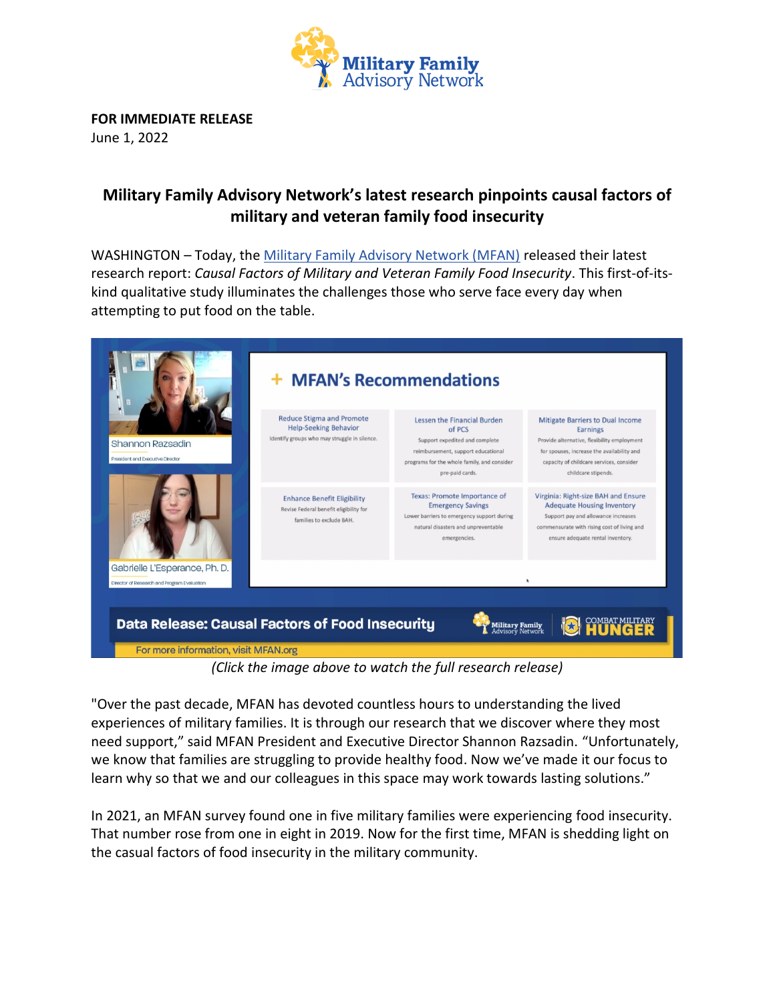

**FOR IMMEDIATE RELEASE**  June 1, 2022

## **Military Family Advisory Network's latest research pinpoints causal factors of military and veteran family food insecurity**

WASHINGTON – Today, the [Military Family Advisory Network \(MFAN\)](http://www.mfan.org/) released their latest research report: *Causal Factors of Military and Veteran Family Food Insecurity*. This first-of-itskind qualitative study illuminates the challenges those who serve face every day when attempting to put food on the table.



*<sup>(</sup>Click the image above to watch the full research release)*

"Over the past decade, MFAN has devoted countless hours to understanding the lived experiences of military families. It is through our research that we discover where they most need support," said MFAN President and Executive Director Shannon Razsadin. "Unfortunately, we know that families are struggling to provide healthy food. Now we've made it our focus to learn why so that we and our colleagues in this space may work towards lasting solutions."

In 2021, an MFAN survey found one in five military families were experiencing food insecurity. That number rose from one in eight in 2019. Now for the first time, MFAN is shedding light on the casual factors of food insecurity in the military community.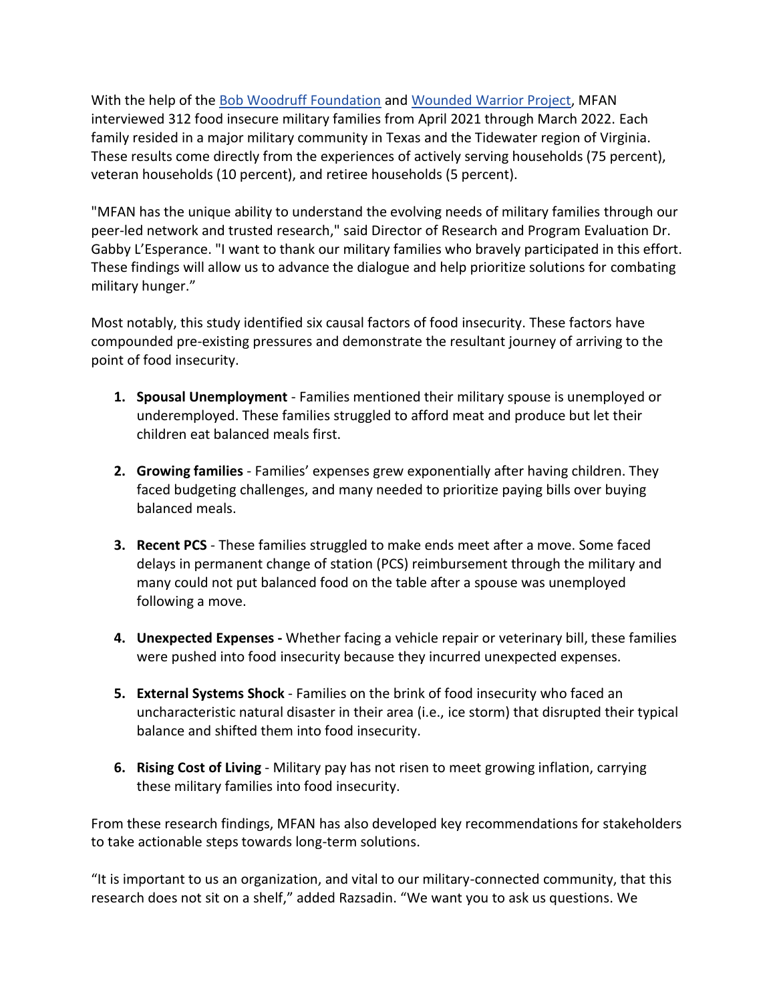With the help of the [Bob Woodruff Foundation](https://bobwoodrufffoundation.org/) and [Wounded Warrior Project,](https://www.woundedwarriorproject.org/) MFAN interviewed 312 food insecure military families from April 2021 through March 2022. Each family resided in a major military community in Texas and the Tidewater region of Virginia. These results come directly from the experiences of actively serving households (75 percent), veteran households (10 percent), and retiree households (5 percent).

"MFAN has the unique ability to understand the evolving needs of military families through our peer-led network and trusted research," said Director of Research and Program Evaluation Dr. Gabby L'Esperance. "I want to thank our military families who bravely participated in this effort. These findings will allow us to advance the dialogue and help prioritize solutions for combating military hunger."

Most notably, this study identified six causal factors of food insecurity. These factors have compounded pre-existing pressures and demonstrate the resultant journey of arriving to the point of food insecurity.

- **1. Spousal Unemployment** Families mentioned their military spouse is unemployed or underemployed. These families struggled to afford meat and produce but let their children eat balanced meals first.
- **2. Growing families** Families' expenses grew exponentially after having children. They faced budgeting challenges, and many needed to prioritize paying bills over buying balanced meals.
- **3. Recent PCS** These families struggled to make ends meet after a move. Some faced delays in permanent change of station (PCS) reimbursement through the military and many could not put balanced food on the table after a spouse was unemployed following a move.
- **4. Unexpected Expenses -** Whether facing a vehicle repair or veterinary bill, these families were pushed into food insecurity because they incurred unexpected expenses.
- **5. External Systems Shock** Families on the brink of food insecurity who faced an uncharacteristic natural disaster in their area (i.e., ice storm) that disrupted their typical balance and shifted them into food insecurity.
- **6. Rising Cost of Living** Military pay has not risen to meet growing inflation, carrying these military families into food insecurity.

From these research findings, MFAN has also developed key recommendations for stakeholders to take actionable steps towards long-term solutions.

"It is important to us an organization, and vital to our military-connected community, that this research does not sit on a shelf," added Razsadin. "We want you to ask us questions. We